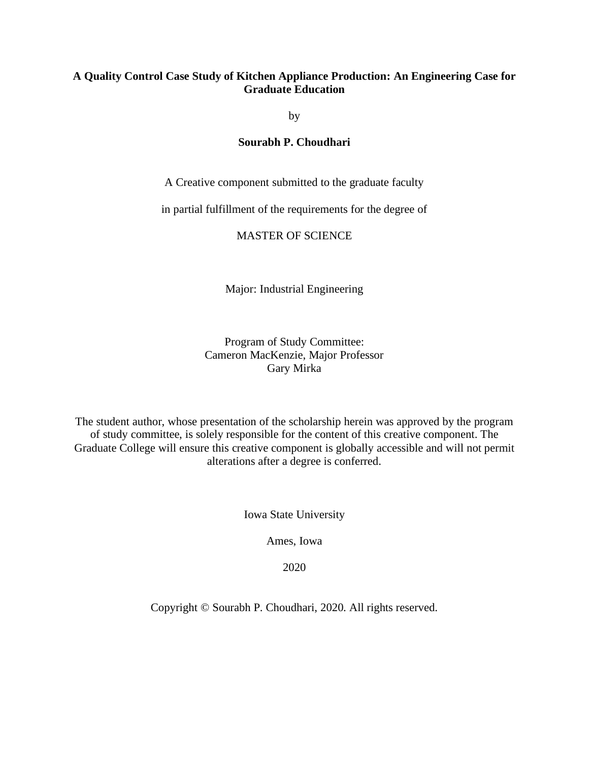### **A Quality Control Case Study of Kitchen Appliance Production: An Engineering Case for Graduate Education**

by

### **Sourabh P. Choudhari**

A Creative component submitted to the graduate faculty

in partial fulfillment of the requirements for the degree of

### MASTER OF SCIENCE

Major: Industrial Engineering

Program of Study Committee: Cameron MacKenzie, Major Professor Gary Mirka

The student author, whose presentation of the scholarship herein was approved by the program of study committee, is solely responsible for the content of this creative component. The Graduate College will ensure this creative component is globally accessible and will not permit alterations after a degree is conferred.

Iowa State University

Ames, Iowa

2020

Copyright © Sourabh P. Choudhari, 2020. All rights reserved.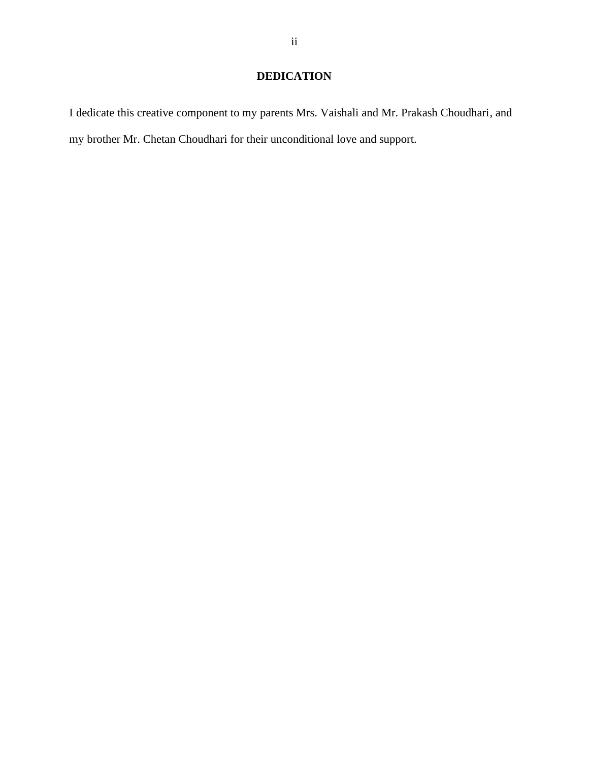## **DEDICATION**

I dedicate this creative component to my parents Mrs. Vaishali and Mr. Prakash Choudhari, and my brother Mr. Chetan Choudhari for their unconditional love and support.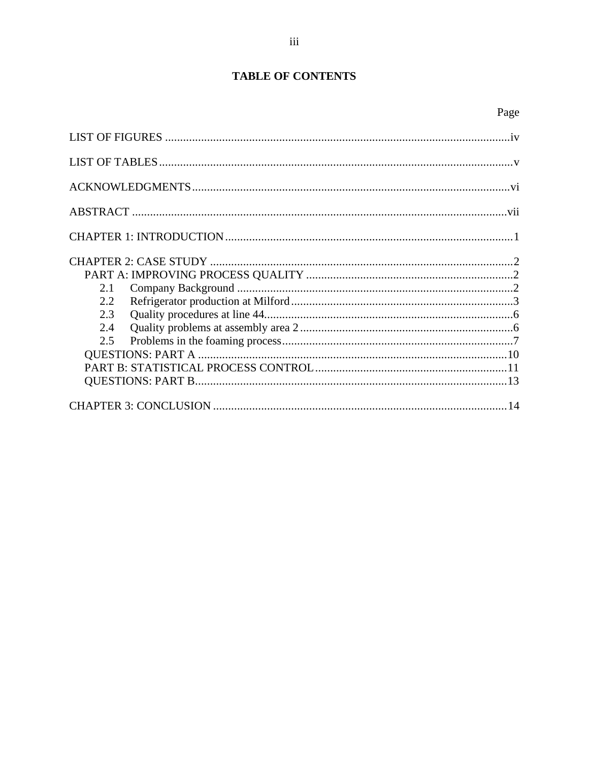# **TABLE OF CONTENTS**

| 2.1 |  |
|-----|--|
| 2.2 |  |
| 2.3 |  |
| 2.4 |  |
| 2.5 |  |
|     |  |
|     |  |
|     |  |
|     |  |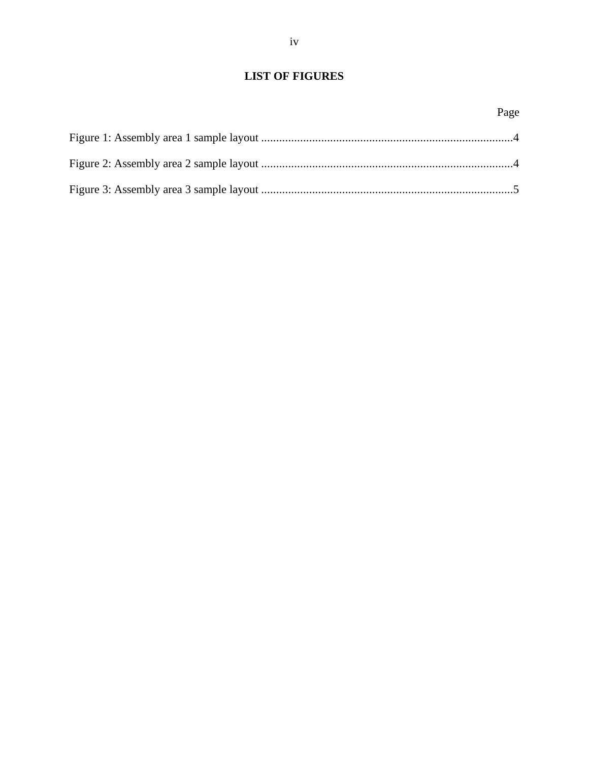<span id="page-3-0"></span>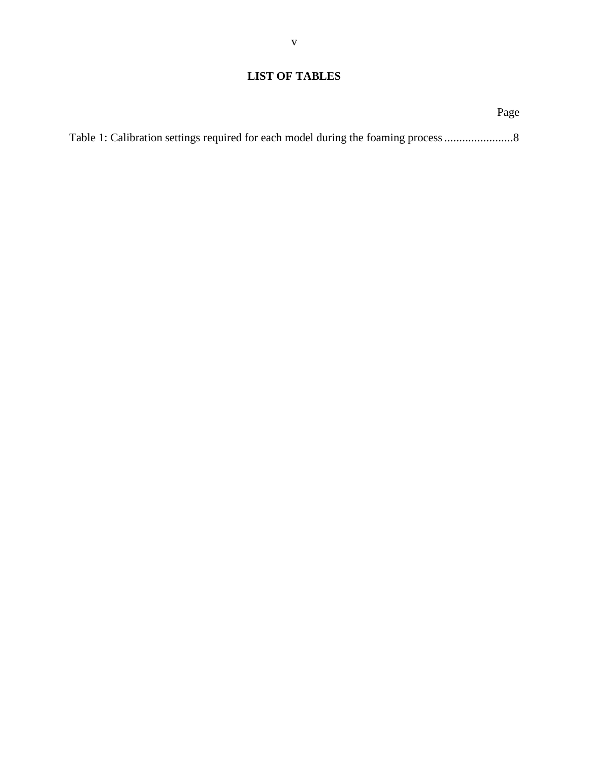## <span id="page-4-0"></span>**LIST OF TABLES**

|                                                                                  | Page |
|----------------------------------------------------------------------------------|------|
| Table 1: Calibration settings required for each model during the foaming process |      |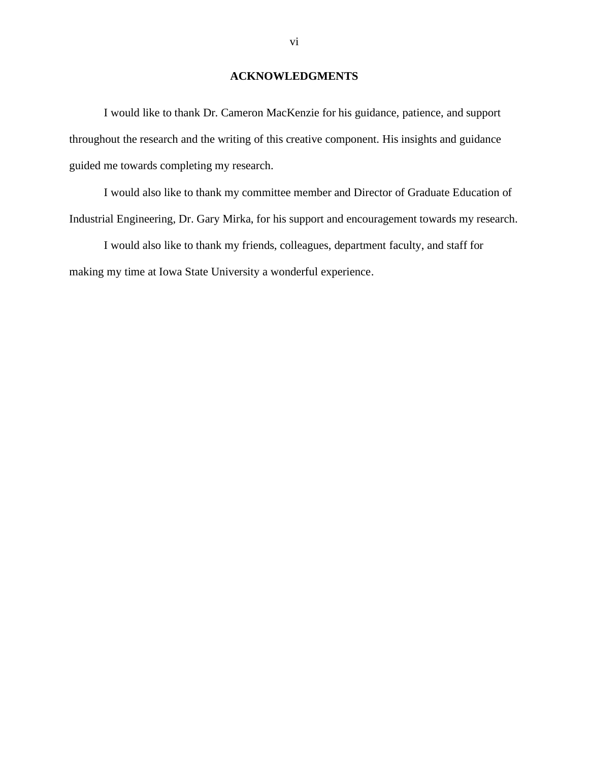## **ACKNOWLEDGMENTS**

<span id="page-5-0"></span>I would like to thank Dr. Cameron MacKenzie for his guidance, patience, and support throughout the research and the writing of this creative component. His insights and guidance guided me towards completing my research.

I would also like to thank my committee member and Director of Graduate Education of Industrial Engineering, Dr. Gary Mirka, for his support and encouragement towards my research.

I would also like to thank my friends, colleagues, department faculty, and staff for making my time at Iowa State University a wonderful experience.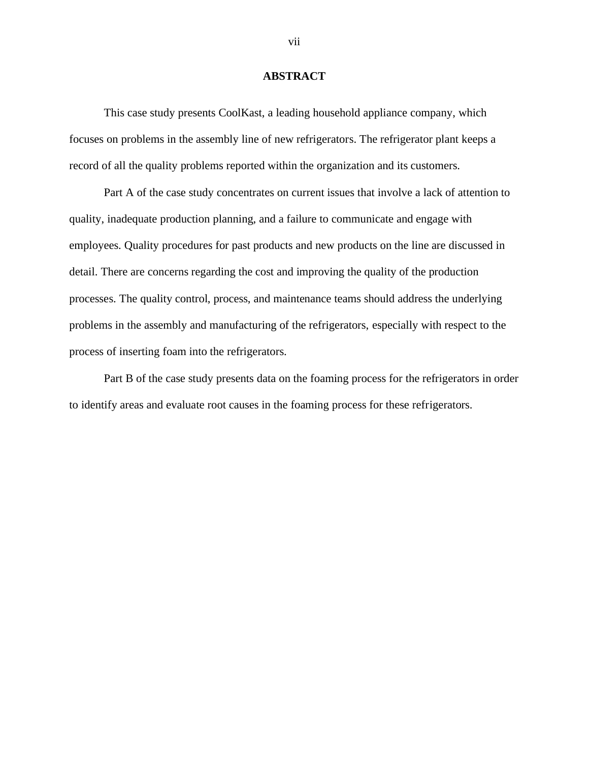#### **ABSTRACT**

<span id="page-6-0"></span>This case study presents CoolKast, a leading household appliance company, which focuses on problems in the assembly line of new refrigerators. The refrigerator plant keeps a record of all the quality problems reported within the organization and its customers.

Part A of the case study concentrates on current issues that involve a lack of attention to quality, inadequate production planning, and a failure to communicate and engage with employees. Quality procedures for past products and new products on the line are discussed in detail. There are concerns regarding the cost and improving the quality of the production processes. The quality control, process, and maintenance teams should address the underlying problems in the assembly and manufacturing of the refrigerators, especially with respect to the process of inserting foam into the refrigerators.

Part B of the case study presents data on the foaming process for the refrigerators in order to identify areas and evaluate root causes in the foaming process for these refrigerators.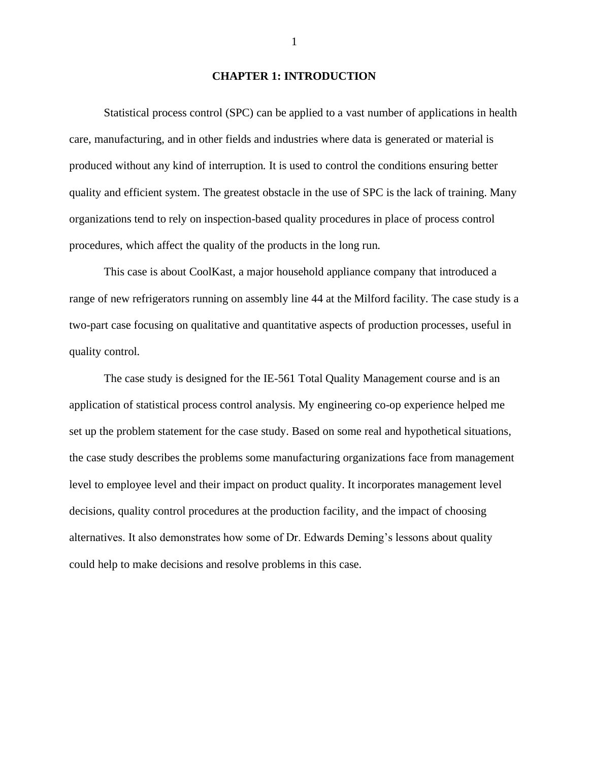#### **CHAPTER 1: INTRODUCTION**

<span id="page-7-0"></span>Statistical process control (SPC) can be applied to a vast number of applications in health care, manufacturing, and in other fields and industries where data is generated or material is produced without any kind of interruption. It is used to control the conditions ensuring better quality and efficient system. The greatest obstacle in the use of SPC is the lack of training. Many organizations tend to rely on inspection-based quality procedures in place of process control procedures, which affect the quality of the products in the long run.

This case is about CoolKast, a major household appliance company that introduced a range of new refrigerators running on assembly line 44 at the Milford facility. The case study is a two-part case focusing on qualitative and quantitative aspects of production processes, useful in quality control.

The case study is designed for the IE-561 Total Quality Management course and is an application of statistical process control analysis. My engineering co-op experience helped me set up the problem statement for the case study. Based on some real and hypothetical situations, the case study describes the problems some manufacturing organizations face from management level to employee level and their impact on product quality. It incorporates management level decisions, quality control procedures at the production facility, and the impact of choosing alternatives. It also demonstrates how some of Dr. Edwards Deming's lessons about quality could help to make decisions and resolve problems in this case.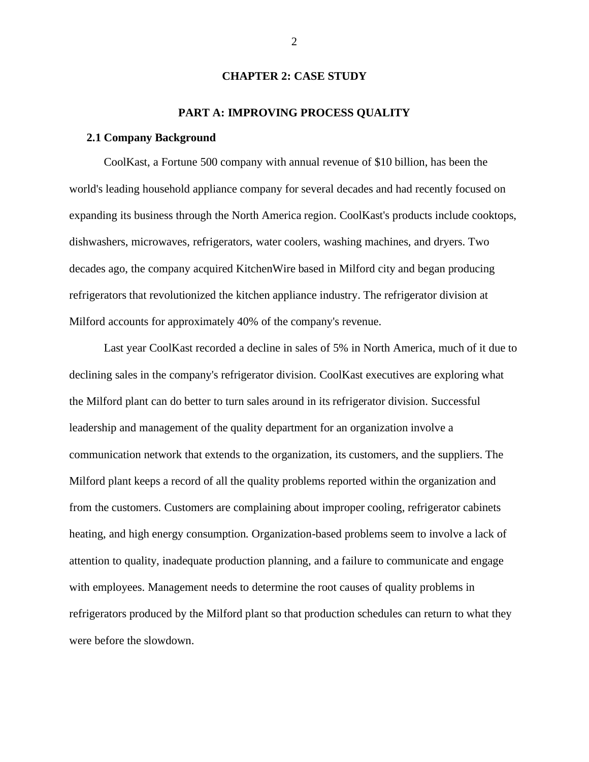#### **CHAPTER 2: CASE STUDY**

#### **PART A: IMPROVING PROCESS QUALITY**

#### <span id="page-8-2"></span><span id="page-8-1"></span><span id="page-8-0"></span>**2.1 Company Background**

CoolKast, a Fortune 500 company with annual revenue of \$10 billion, has been the world's leading household appliance company for several decades and had recently focused on expanding its business through the North America region. CoolKast's products include cooktops, dishwashers, microwaves, refrigerators, water coolers, washing machines, and dryers. Two decades ago, the company acquired KitchenWire based in Milford city and began producing refrigerators that revolutionized the kitchen appliance industry. The refrigerator division at Milford accounts for approximately 40% of the company's revenue.

Last year CoolKast recorded a decline in sales of 5% in North America, much of it due to declining sales in the company's refrigerator division. CoolKast executives are exploring what the Milford plant can do better to turn sales around in its refrigerator division. Successful leadership and management of the quality department for an organization involve a communication network that extends to the organization, its customers, and the suppliers. The Milford plant keeps a record of all the quality problems reported within the organization and from the customers. Customers are complaining about improper cooling, refrigerator cabinets heating, and high energy consumption. Organization-based problems seem to involve a lack of attention to quality, inadequate production planning, and a failure to communicate and engage with employees. Management needs to determine the root causes of quality problems in refrigerators produced by the Milford plant so that production schedules can return to what they were before the slowdown.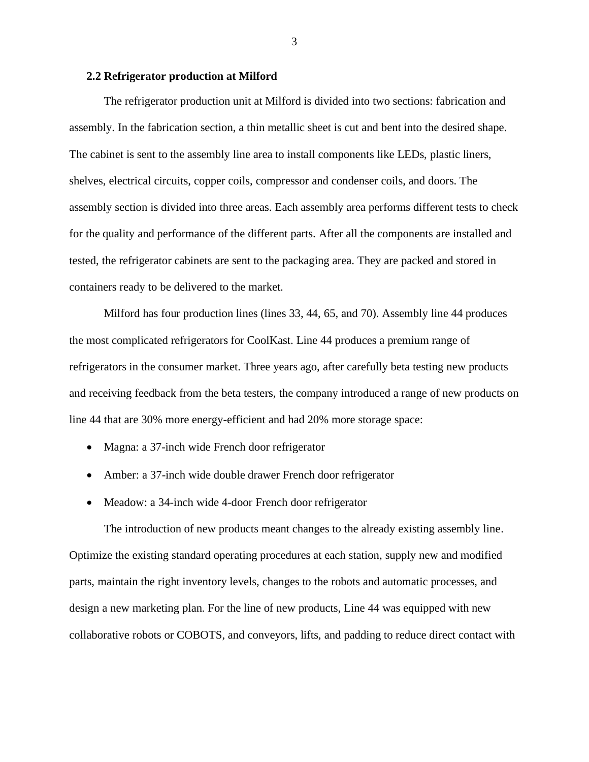#### <span id="page-9-0"></span>**2.2 Refrigerator production at Milford**

The refrigerator production unit at Milford is divided into two sections: fabrication and assembly. In the fabrication section, a thin metallic sheet is cut and bent into the desired shape. The cabinet is sent to the assembly line area to install components like LEDs, plastic liners, shelves, electrical circuits, copper coils, compressor and condenser coils, and doors. The assembly section is divided into three areas. Each assembly area performs different tests to check for the quality and performance of the different parts. After all the components are installed and tested, the refrigerator cabinets are sent to the packaging area. They are packed and stored in containers ready to be delivered to the market.

Milford has four production lines (lines 33, 44, 65, and 70). Assembly line 44 produces the most complicated refrigerators for CoolKast. Line 44 produces a premium range of refrigerators in the consumer market. Three years ago, after carefully beta testing new products and receiving feedback from the beta testers, the company introduced a range of new products on line 44 that are 30% more energy-efficient and had 20% more storage space:

- Magna: a 37-inch wide French door refrigerator
- Amber: a 37-inch wide double drawer French door refrigerator
- Meadow: a 34-inch wide 4-door French door refrigerator

The introduction of new products meant changes to the already existing assembly line. Optimize the existing standard operating procedures at each station, supply new and modified parts, maintain the right inventory levels, changes to the robots and automatic processes, and design a new marketing plan. For the line of new products, Line 44 was equipped with new collaborative robots or COBOTS, and conveyors, lifts, and padding to reduce direct contact with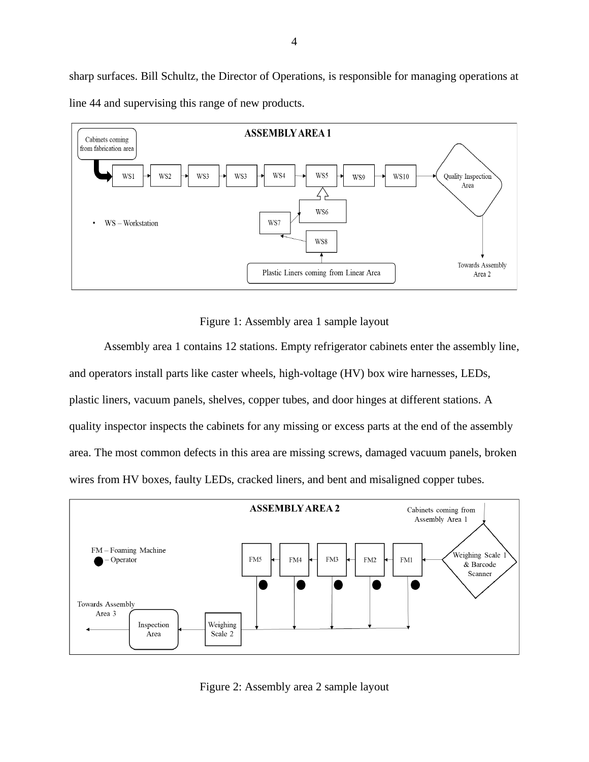sharp surfaces. Bill Schultz, the Director of Operations, is responsible for managing operations at line 44 and supervising this range of new products.



Figure 1: Assembly area 1 sample layout

<span id="page-10-0"></span>Assembly area 1 contains 12 stations. Empty refrigerator cabinets enter the assembly line, and operators install parts like caster wheels, high-voltage (HV) box wire harnesses, LEDs, plastic liners, vacuum panels, shelves, copper tubes, and door hinges at different stations. A quality inspector inspects the cabinets for any missing or excess parts at the end of the assembly area. The most common defects in this area are missing screws, damaged vacuum panels, broken wires from HV boxes, faulty LEDs, cracked liners, and bent and misaligned copper tubes.



<span id="page-10-1"></span>Figure 2: Assembly area 2 sample layout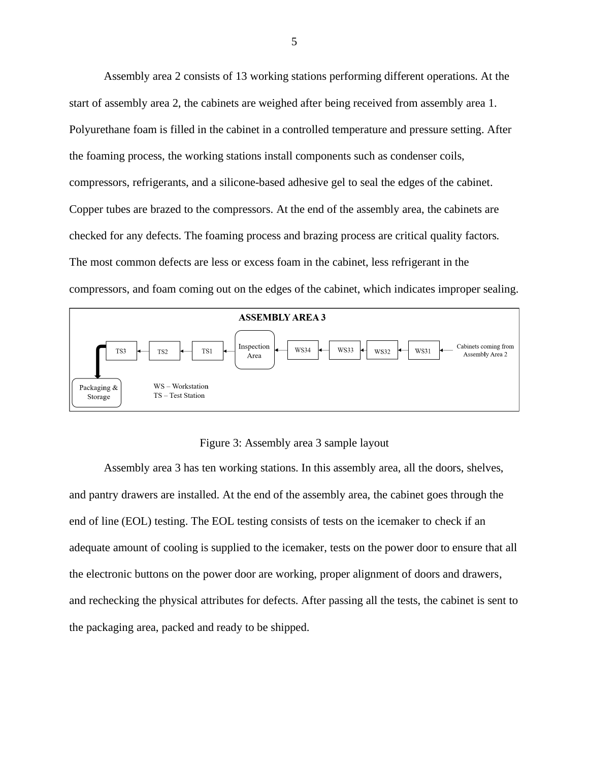Assembly area 2 consists of 13 working stations performing different operations. At the start of assembly area 2, the cabinets are weighed after being received from assembly area 1. Polyurethane foam is filled in the cabinet in a controlled temperature and pressure setting. After the foaming process, the working stations install components such as condenser coils, compressors, refrigerants, and a silicone-based adhesive gel to seal the edges of the cabinet. Copper tubes are brazed to the compressors. At the end of the assembly area, the cabinets are checked for any defects. The foaming process and brazing process are critical quality factors. The most common defects are less or excess foam in the cabinet, less refrigerant in the compressors, and foam coming out on the edges of the cabinet, which indicates improper sealing.



Figure 3: Assembly area 3 sample layout

<span id="page-11-0"></span>Assembly area 3 has ten working stations. In this assembly area, all the doors, shelves, and pantry drawers are installed. At the end of the assembly area, the cabinet goes through the end of line (EOL) testing. The EOL testing consists of tests on the icemaker to check if an adequate amount of cooling is supplied to the icemaker, tests on the power door to ensure that all the electronic buttons on the power door are working, proper alignment of doors and drawers, and rechecking the physical attributes for defects. After passing all the tests, the cabinet is sent to the packaging area, packed and ready to be shipped.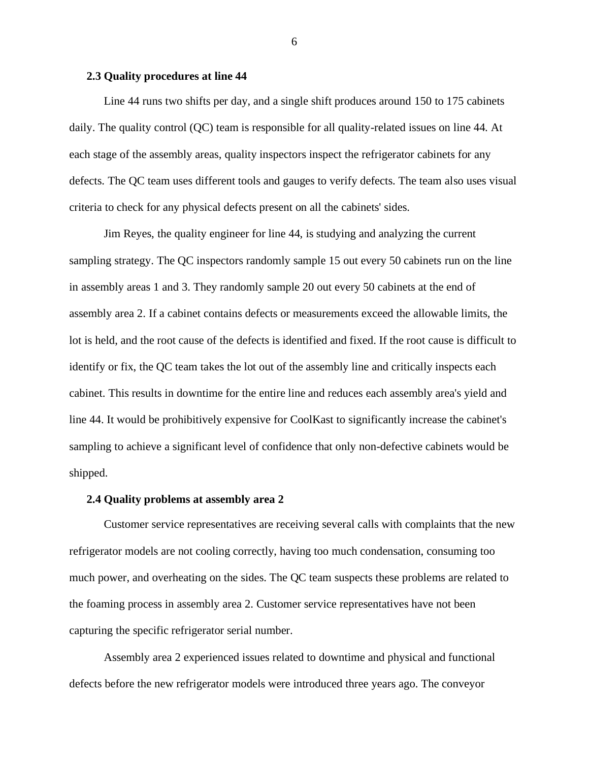#### <span id="page-12-0"></span>**2.3 Quality procedures at line 44**

Line 44 runs two shifts per day, and a single shift produces around 150 to 175 cabinets daily. The quality control (QC) team is responsible for all quality-related issues on line 44. At each stage of the assembly areas, quality inspectors inspect the refrigerator cabinets for any defects. The QC team uses different tools and gauges to verify defects. The team also uses visual criteria to check for any physical defects present on all the cabinets' sides.

Jim Reyes, the quality engineer for line 44, is studying and analyzing the current sampling strategy. The QC inspectors randomly sample 15 out every 50 cabinets run on the line in assembly areas 1 and 3. They randomly sample 20 out every 50 cabinets at the end of assembly area 2. If a cabinet contains defects or measurements exceed the allowable limits, the lot is held, and the root cause of the defects is identified and fixed. If the root cause is difficult to identify or fix, the QC team takes the lot out of the assembly line and critically inspects each cabinet. This results in downtime for the entire line and reduces each assembly area's yield and line 44. It would be prohibitively expensive for CoolKast to significantly increase the cabinet's sampling to achieve a significant level of confidence that only non-defective cabinets would be shipped.

#### <span id="page-12-1"></span>**2.4 Quality problems at assembly area 2**

Customer service representatives are receiving several calls with complaints that the new refrigerator models are not cooling correctly, having too much condensation, consuming too much power, and overheating on the sides. The QC team suspects these problems are related to the foaming process in assembly area 2. Customer service representatives have not been capturing the specific refrigerator serial number.

Assembly area 2 experienced issues related to downtime and physical and functional defects before the new refrigerator models were introduced three years ago. The conveyor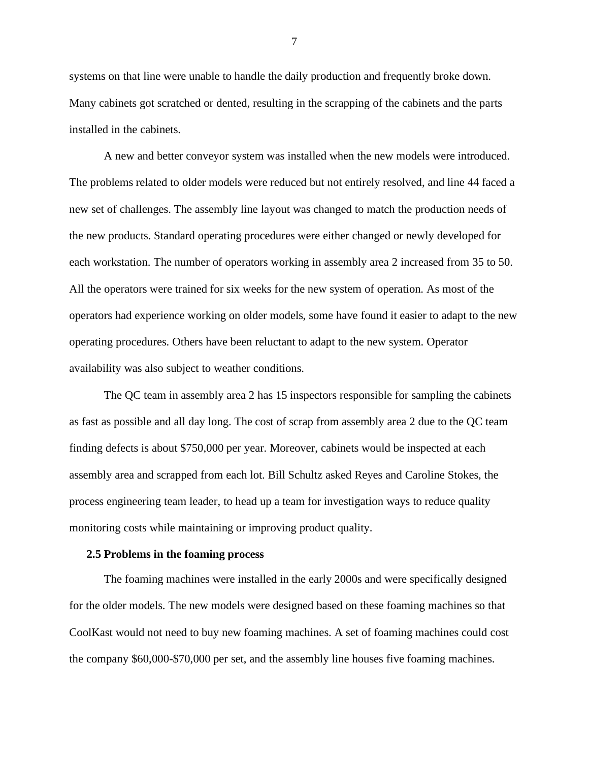systems on that line were unable to handle the daily production and frequently broke down. Many cabinets got scratched or dented, resulting in the scrapping of the cabinets and the parts installed in the cabinets.

A new and better conveyor system was installed when the new models were introduced. The problems related to older models were reduced but not entirely resolved, and line 44 faced a new set of challenges. The assembly line layout was changed to match the production needs of the new products. Standard operating procedures were either changed or newly developed for each workstation. The number of operators working in assembly area 2 increased from 35 to 50. All the operators were trained for six weeks for the new system of operation. As most of the operators had experience working on older models, some have found it easier to adapt to the new operating procedures. Others have been reluctant to adapt to the new system. Operator availability was also subject to weather conditions.

The QC team in assembly area 2 has 15 inspectors responsible for sampling the cabinets as fast as possible and all day long. The cost of scrap from assembly area 2 due to the QC team finding defects is about \$750,000 per year. Moreover, cabinets would be inspected at each assembly area and scrapped from each lot. Bill Schultz asked Reyes and Caroline Stokes, the process engineering team leader, to head up a team for investigation ways to reduce quality monitoring costs while maintaining or improving product quality.

#### <span id="page-13-0"></span>**2.5 Problems in the foaming process**

The foaming machines were installed in the early 2000s and were specifically designed for the older models. The new models were designed based on these foaming machines so that CoolKast would not need to buy new foaming machines. A set of foaming machines could cost the company \$60,000-\$70,000 per set, and the assembly line houses five foaming machines.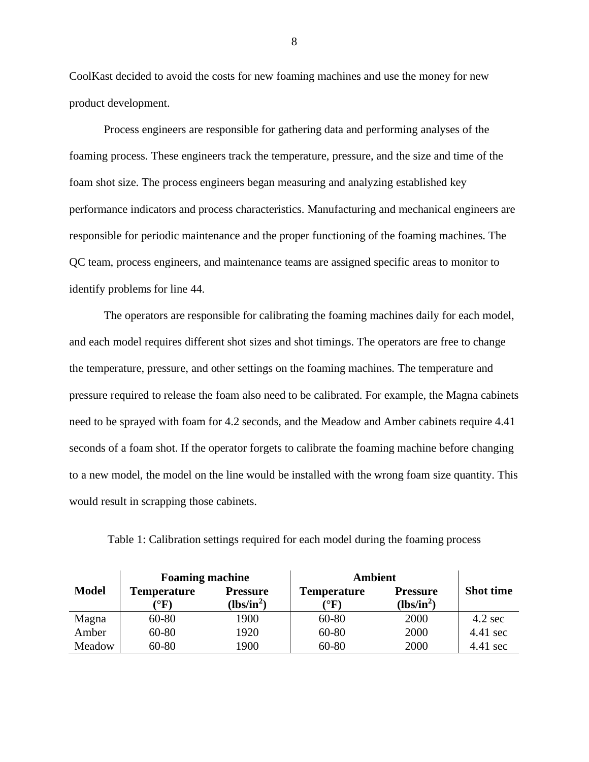CoolKast decided to avoid the costs for new foaming machines and use the money for new product development.

Process engineers are responsible for gathering data and performing analyses of the foaming process. These engineers track the temperature, pressure, and the size and time of the foam shot size. The process engineers began measuring and analyzing established key performance indicators and process characteristics. Manufacturing and mechanical engineers are responsible for periodic maintenance and the proper functioning of the foaming machines. The QC team, process engineers, and maintenance teams are assigned specific areas to monitor to identify problems for line 44.

The operators are responsible for calibrating the foaming machines daily for each model, and each model requires different shot sizes and shot timings. The operators are free to change the temperature, pressure, and other settings on the foaming machines. The temperature and pressure required to release the foam also need to be calibrated. For example, the Magna cabinets need to be sprayed with foam for 4.2 seconds, and the Meadow and Amber cabinets require 4.41 seconds of a foam shot. If the operator forgets to calibrate the foaming machine before changing to a new model, the model on the line would be installed with the wrong foam size quantity. This would result in scrapping those cabinets.

|              | <b>Foaming machine</b>                 |                                 | <b>Ambient</b>                          |                                 |                   |  |
|--------------|----------------------------------------|---------------------------------|-----------------------------------------|---------------------------------|-------------------|--|
| <b>Model</b> | <b>Temperature</b><br>$\rm ^{\circ}F)$ | <b>Pressure</b><br>$(lbs/in^2)$ | <b>Temperature</b><br>$\rm ^{\circ}F$ ) | <b>Pressure</b><br>$(lbs/in^2)$ | <b>Shot time</b>  |  |
| Magna        | 60-80                                  | 1900                            | 60-80                                   | 2000                            | $4.2 \text{ sec}$ |  |
| Amber        | $60 - 80$                              | 1920                            | 60-80                                   | 2000                            | 4.41 sec          |  |
| Meadow       | $60 - 80$                              | 1900                            | 60-80                                   | 2000                            | 4.41 sec          |  |

<span id="page-14-0"></span>Table 1: Calibration settings required for each model during the foaming process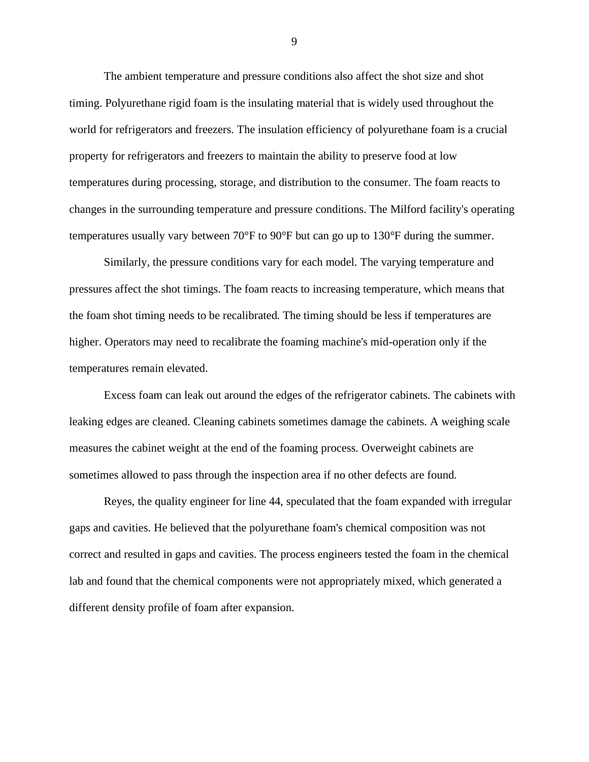The ambient temperature and pressure conditions also affect the shot size and shot timing. Polyurethane rigid foam is the insulating material that is widely used throughout the world for refrigerators and freezers. The insulation efficiency of polyurethane foam is a crucial property for refrigerators and freezers to maintain the ability to preserve food at low temperatures during processing, storage, and distribution to the consumer. The foam reacts to changes in the surrounding temperature and pressure conditions. The Milford facility's operating temperatures usually vary between 70°F to 90°F but can go up to 130°F during the summer.

Similarly, the pressure conditions vary for each model. The varying temperature and pressures affect the shot timings. The foam reacts to increasing temperature, which means that the foam shot timing needs to be recalibrated. The timing should be less if temperatures are higher. Operators may need to recalibrate the foaming machine's mid-operation only if the temperatures remain elevated.

Excess foam can leak out around the edges of the refrigerator cabinets. The cabinets with leaking edges are cleaned. Cleaning cabinets sometimes damage the cabinets. A weighing scale measures the cabinet weight at the end of the foaming process. Overweight cabinets are sometimes allowed to pass through the inspection area if no other defects are found.

Reyes, the quality engineer for line 44, speculated that the foam expanded with irregular gaps and cavities. He believed that the polyurethane foam's chemical composition was not correct and resulted in gaps and cavities. The process engineers tested the foam in the chemical lab and found that the chemical components were not appropriately mixed, which generated a different density profile of foam after expansion.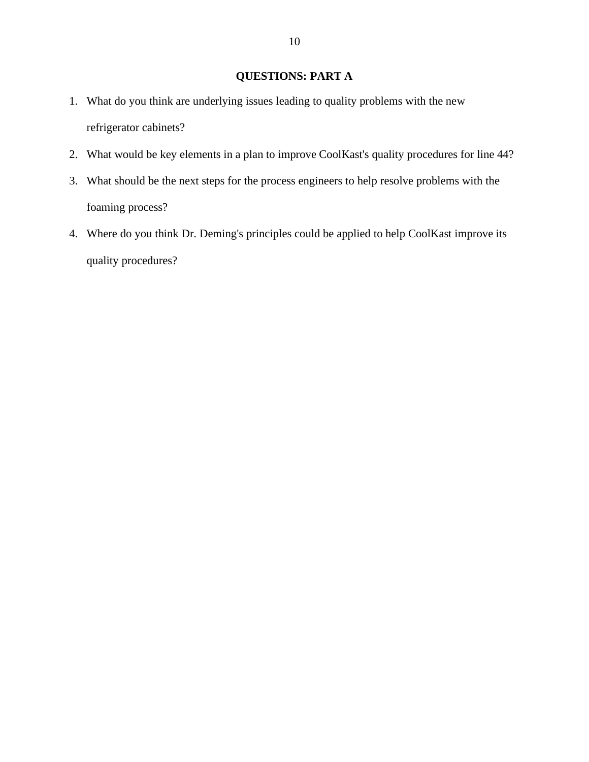## **QUESTIONS: PART A**

- <span id="page-16-0"></span>1. What do you think are underlying issues leading to quality problems with the new refrigerator cabinets?
- 2. What would be key elements in a plan to improve CoolKast's quality procedures for line 44?
- 3. What should be the next steps for the process engineers to help resolve problems with the foaming process?
- 4. Where do you think Dr. Deming's principles could be applied to help CoolKast improve its quality procedures?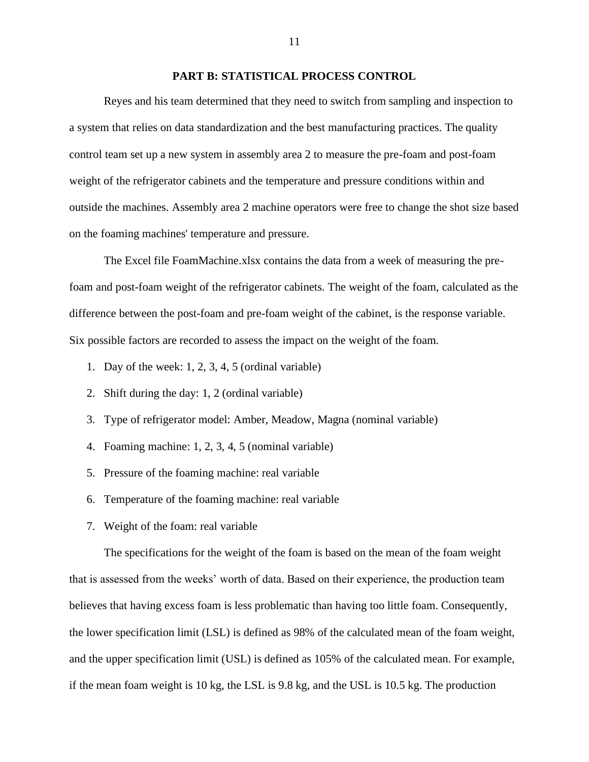#### **PART B: STATISTICAL PROCESS CONTROL**

<span id="page-17-0"></span>Reyes and his team determined that they need to switch from sampling and inspection to a system that relies on data standardization and the best manufacturing practices. The quality control team set up a new system in assembly area 2 to measure the pre-foam and post-foam weight of the refrigerator cabinets and the temperature and pressure conditions within and outside the machines. Assembly area 2 machine operators were free to change the shot size based on the foaming machines' temperature and pressure.

The Excel file FoamMachine.xlsx contains the data from a week of measuring the prefoam and post-foam weight of the refrigerator cabinets. The weight of the foam, calculated as the difference between the post-foam and pre-foam weight of the cabinet, is the response variable. Six possible factors are recorded to assess the impact on the weight of the foam.

- 1. Day of the week: 1, 2, 3, 4, 5 (ordinal variable)
- 2. Shift during the day: 1, 2 (ordinal variable)
- 3. Type of refrigerator model: Amber, Meadow, Magna (nominal variable)
- 4. Foaming machine: 1, 2, 3, 4, 5 (nominal variable)
- 5. Pressure of the foaming machine: real variable
- 6. Temperature of the foaming machine: real variable
- 7. Weight of the foam: real variable

The specifications for the weight of the foam is based on the mean of the foam weight that is assessed from the weeks' worth of data. Based on their experience, the production team believes that having excess foam is less problematic than having too little foam. Consequently, the lower specification limit (LSL) is defined as 98% of the calculated mean of the foam weight, and the upper specification limit (USL) is defined as 105% of the calculated mean. For example, if the mean foam weight is 10 kg, the LSL is 9.8 kg, and the USL is 10.5 kg. The production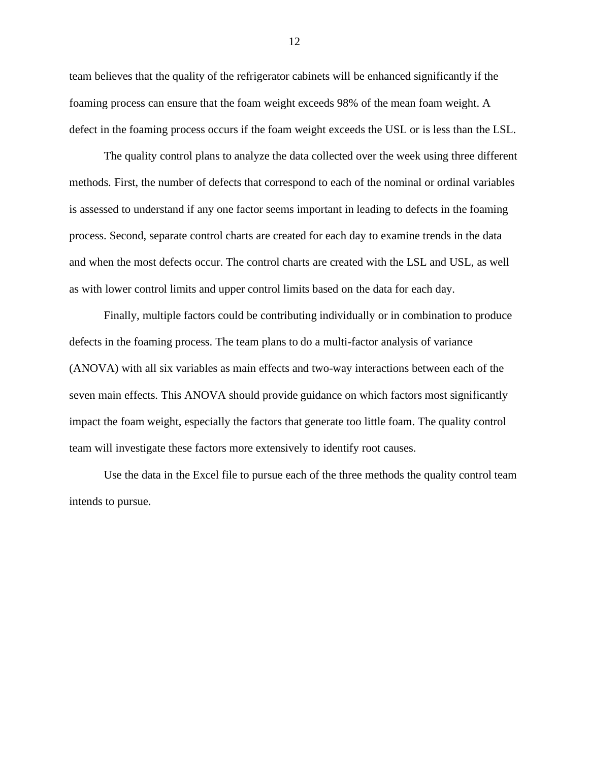team believes that the quality of the refrigerator cabinets will be enhanced significantly if the foaming process can ensure that the foam weight exceeds 98% of the mean foam weight. A defect in the foaming process occurs if the foam weight exceeds the USL or is less than the LSL.

The quality control plans to analyze the data collected over the week using three different methods. First, the number of defects that correspond to each of the nominal or ordinal variables is assessed to understand if any one factor seems important in leading to defects in the foaming process. Second, separate control charts are created for each day to examine trends in the data and when the most defects occur. The control charts are created with the LSL and USL, as well as with lower control limits and upper control limits based on the data for each day.

Finally, multiple factors could be contributing individually or in combination to produce defects in the foaming process. The team plans to do a multi-factor analysis of variance (ANOVA) with all six variables as main effects and two-way interactions between each of the seven main effects. This ANOVA should provide guidance on which factors most significantly impact the foam weight, especially the factors that generate too little foam. The quality control team will investigate these factors more extensively to identify root causes.

Use the data in the Excel file to pursue each of the three methods the quality control team intends to pursue.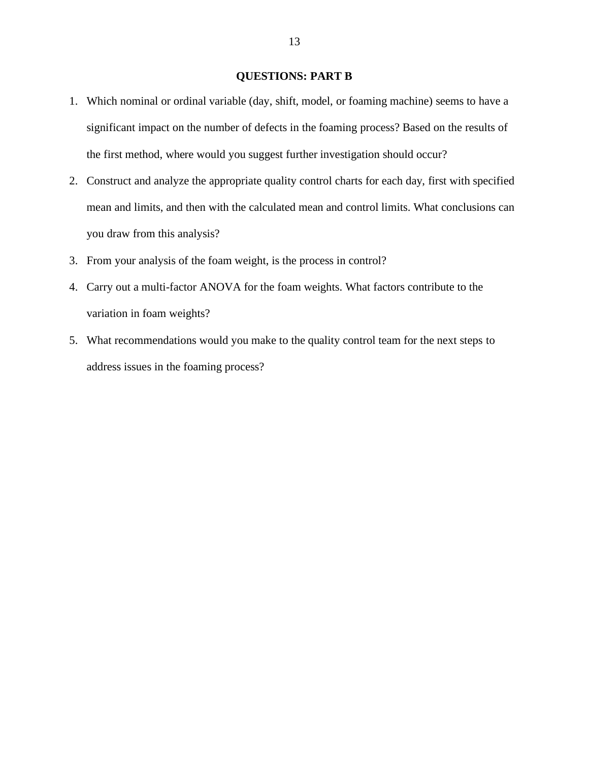## **QUESTIONS: PART B**

- <span id="page-19-0"></span>1. Which nominal or ordinal variable (day, shift, model, or foaming machine) seems to have a significant impact on the number of defects in the foaming process? Based on the results of the first method, where would you suggest further investigation should occur?
- 2. Construct and analyze the appropriate quality control charts for each day, first with specified mean and limits, and then with the calculated mean and control limits. What conclusions can you draw from this analysis?
- 3. From your analysis of the foam weight, is the process in control?
- 4. Carry out a multi-factor ANOVA for the foam weights. What factors contribute to the variation in foam weights?
- 5. What recommendations would you make to the quality control team for the next steps to address issues in the foaming process?